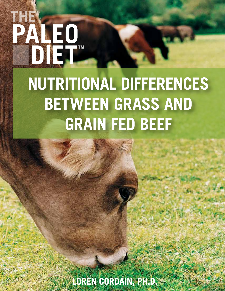# **NUTRITIONAL DIFFERENCES BETWEEN GRASS AND GRAIN FED BEEF**

THEW

**LOREN CORDAIN, PH.D.**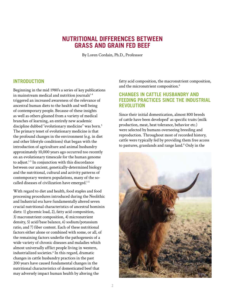# **NUTRITIONAL DIFFERENCES BETWEEN GRASS AND GRAIN FED BEEF**

By Loren Cordain, Ph.D., Professsor

# **INTRODUCTION**

Beginning in the mid 1980's a series of key publications in mainstream medical and nutrition journals<sup>1-4</sup> triggered an increased awareness of the relevance of ancestral human diets to the health and well being of contemporary people. Because of these insights as well as others gleaned from a variety of medical branches of learning, an entirely new academic discipline dubbed "evolutionary medicine" was born.<sup>5</sup> The primary tenet of evolutionary medicine is that the profound changes in the environment (e.g. in diet and other lifestyle conditions) that began with the introduction of agriculture and animal husbandry approximately 10,000 years ago occurred too recently on an evolutionary timescale for the human genome to adjust.<sup>1-5</sup> In conjunction with this discordance between our ancient, genetically-determined biology and the nutritional, cultural and activity patterns of contemporary western populations, many of the socalled diseases of civilization have emerged.1-5

With regard to diet and health, food staples and food processing procedures introduced during the Neolithic and Industrial era have fundamentally altered seven crucial nutritional characteristics of ancestral hominin diets: 1) glycemic load, 2), fatty acid composition, 3) macronutrient composition, 4) micronutrient density, 5) acid/base balance, 6) sodium/potassium ratio, and 7) fiber content. Each of these nutritional factors either alone or combined with some, or all, of the remaining factors underlie the pathogenesis of a wide variety of chronic diseases and maladies which almost universally afflict people living in western, industrialized societies.<sup>6</sup> In this regard, dramatic changes in cattle husbandry practices in the past 200 years have caused fundamental changes in the nutritional characteristics of domesticated beef that may adversely impact human health by altering the

fatty acid composition, the macronutrient composition, and the micronutrient composition.<sup>6</sup>

# **CHANGES IN CATTLE HUSBANDRY AND FEEDING PRACTICES SINCE THE INDUSTRIAL REVOLUTION**

Since their initial domestication, almost 800 breeds of cattle have been developed<sup>7</sup> as specific traits (milk production, meat, heat tolerance, behavior etc.) were selected by humans overseeing breeding and reproduction. Throughout most of recorded history, cattle were typically fed by providing them free access to pastures, grasslands and range land.<sup>8</sup> Only in the

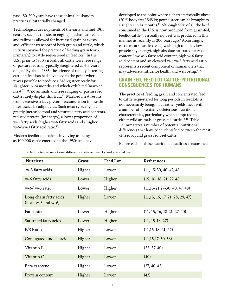past 150-200 years have these animal husbandry practices substantially changed.

Technological developments of the early and mid 19th century such as the steam engine, mechanical reaper, and railroads allowed for increased grain harvests and efficient transport of both grain and cattle, which in turn spawned the practice of feeding grain (corn primarily) to cattle sequestered in feedlots.<sup>9</sup> In the U.S., prior to 1850 virtually all cattle were free range or pasture fed and typically slaughtered at 4-5 years of age.9 By about 1885, the science of rapidly fattening cattle in feedlots had advanced to the point where it was possible to produce a 545 kg steer ready for slaughter in 24 months and which exhibited "marbled meat".9 Wild animals and free ranging or pasture fed cattle rarely display this trait.<sup>10</sup> Marbled meat results from excessive triacylglycerol accumulation in muscle interfascicular adipocytes. Such meat typically has greatly increased total and saturated fatty acid contents, reduced protein (by energy), a lower proportion of w-3 fatty acids, higher w-6 fatty acids and a higher  $w-6/w-63$  fatty acid ratio.<sup>10, 11</sup>

Modern feedlot operations involving as many as 100,000 cattle emerged in the 1950s and have developed to the point where a characteristically obese  $(30 %$  body fat)<sup>12</sup> 545 kg pound steer can be brought to slaughter in 14 months.<sup>13</sup> Although 99% of all the beef consumed in the U.S. is now produced from grain-fed, feedlot cattle<sup>14</sup>, virtually no beef was produced in this manner as recently as 200 years ago.<sup>9</sup> Accordingly, cattle meat (muscle tissue) with high total fat, low protein (by energy), high absolute saturated fatty acid content, low w-3 fatty acid content, high w-6 fatty acid content and an elevated w-6/w-3 fatty acid ratio represents a recent component of human diets that may adversely influence health and well being.<sup>4, 10, 11</sup>

# **GRAIN FED, FEED LOT CATTLE: NUTRITIONAL CONSEQUENCES FOR HUMANS**

The practice of feeding grain and concentrated feed to cattle sequestered for long periods in feedlots is not necessarily benign, but rather yields meat with a number of potentially deleterious nutritional characteristics, particularly when compared to either wild animals or grass fed cattle.<sup>10, 11</sup> Table 1 summarizes a number of potential nutritional differences that have been identified between the meat of feed lot and grass fed beef cattle.

Before each of these nutritional qualities is examined

| <b>Nutrient</b>                                   | Grass  | <b>Feed Lot</b> | <b>References</b>                    |
|---------------------------------------------------|--------|-----------------|--------------------------------------|
| w-3 fatty acids                                   | Higher | Lower           | $(11, 15-30, 40, 47, 48)$            |
| w-6 fatty acids                                   | Lower  | Higher          | (15, 16, 18, 21, 27, 48)             |
| $w-6/w-3$ ratio                                   | Lower  | Higher          | $(11, 15 - 21, 27 - 30, 40, 47, 48)$ |
| Long chain fatty acids<br>(both $w-3$ and $w-6$ ) | Higher | Lower           | (11,15, 16, 17, 21, 28, 29, 47)      |
| Fat content                                       | Lower  | Higher          | $(11, 15, 16, 18-21, 27, 40)$        |
| Saturated fatty acids                             | Lower  | Higher          | $(11, 15-18, 27)$                    |
| P/S Ratio                                         | Higher | Lower           | $(11, 15-18, 21, 27)$                |
| Conjugated linoleic acid                          | Higher | Lower           | $(11, 15, 17, 30-36)$                |
| Vitamin E                                         | Higher | Lower           | $(25, 37-40)$                        |
| Vitamin C                                         | Higher | Lower           | (40)                                 |
| Beta carotene                                     | Higher | Lower           | $(37, 40-42)$                        |
| Protein content                                   | Higher | Lower           | (43)                                 |

Table 1. Potential nutritional differences between feed lot and grass fed beef.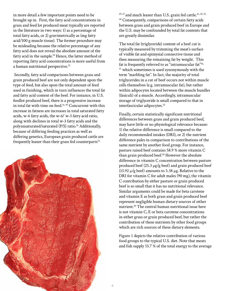in more detail a few important points need to be brought up in. First, the fatty acid concentrations in grass and feed lot produced meat typically are reported in the literature in two ways: 1) as a percentage of total fatty acids, or 2) gravimetrically as (mg fatty acid/100 g muscle tissue). The former procedure may be misleading because the relative percentage of any fatty acid does not reveal the absolute amount of the fatty acid in the sample.<sup>18</sup> Hence, the latter method of reporting fatty acid concentrations is more useful from a human nutritional perspective.<sup>21</sup>

 Secondly, fatty acid comparisons between grass and grain produced beef are not only dependent upon the type of feed, but also upon the total amount of feed used in finishing, which in turn influences the total fat and fatty acid content of the beef. For instance, in U.S. feedlot produced beef, there is a progressive increase in total fat with time on feed.<sup>16, 49</sup> Concurrent with this increase in fatness are increases in total saturated fatty acids, w-6 fatty acids, the w-6/ w-3 fatty acid ratio, along with declines in total w-3 fatty acids and the polyunsaturated/saturated (P/S) ratio.<sup>16</sup> Additionally, because of differing feeding practices as well as differing genetics, European grain produced cattle are frequently leaner than their grass fed counterparts<sup>21,</sup>



 $29,47$  and much leaner than U.S. grain fed cattle.<sup>21, 29, 47,</sup> 48 Consequently, comparisons of certain fatty acids between grass and grain produced beef in Europe and the U.S. may be confounded by total fat contents that are greatly dissimilar.

The total fat (triglyceride) content of a beef cut is typically measured by trimming the meat's surface of visible fat and epimysial connective tissue and then measuring the remaining fat by weight. This fat is frequently referred to as "intramuscular fat"<sup>16,</sup> <sup>51</sup> which sometimes is used synonymously with the term "marbling fat". In fact, the majority of total triglycerides in a cut of beef occurs not within muscle cells themselves (e.g. intramuscular fat), but rather within adipocytes located between the muscle bundles (fasiculi) of a muscle. Accordingly, intramuscular storage of triglyceride is small compared to that in interfascicular adipocytes.<sup>52</sup>

Finally, certain statistically significant nutritional differences between grass and grain produced beef, may have little or no physiological relevance because: 1) the relative difference is small compared to the daily recommended intakes (DRI), or 2) the nutrient difference pales in comparison to contributions of the same nutrient by another food group. For instance, pasture raised beef contains 58.9 % more vitamin C than grain produced beef.<sup>40</sup> However the absolute difference in vitamin C concentration between pasture produced beef  $(25.3 \mu g/g \text{ } ^{\circ}\text{ }$  and grain produced beef (15.92  $\mu$ /g beef) amounts to 5.38  $\mu$ g. Relative to the DRI for vitamin C for adult males (90 mg), the vitamin C contribution by either pasture or grain produced beef is so small that it has no nutritional relevance. Similar arguments could be made for beta carotene and vitamin E as both grass and grain produced beef represent negligible human dietary sources of either nutrient.40 The central human nutritional issue here is not vitamin C, E or beta carotene concentrations in either grass or grain produced beef, but rather the contribution of these nutrients by other food groups which are rich sources of these dietary elements.

Figure 1 depicts the relative contribution of various food groups to the typical U.S. diet. Note that meats and fish supply 15.7 % of the total energy to the average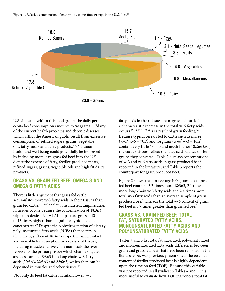

U.S. diet, and within this food group, the daily per capita beef consumption amounts to 82 grams.<sup>44</sup> Many of the current health problems and chronic diseases which afflict the American public result from excessive consumption of refined sugars, grains, vegetable oils, fatty meats and dairy products.<sup>2, 4, 6</sup> Human health and well being could potentially be improved by including more lean grass fed beef into the U.S. diet at the expense of fatty, feedlot-produced meats, refined sugars, grains, vegetable oils and high fat dairy products.

# **GRASS VS. GRAIN FED BEEF: OMEGA 3 AND OMEGA 6 FATTY ACIDS**

There is little argument that grass fed cattle accumulates more w-3 fatty acids in their tissues than grain fed cattle.<sup>11, 15-30, 40, 47, 48</sup> This nutrient amplification in tissues occurs because the concentration of 18:3n3 (alpha linolenic acid [ALA]) in pasture grass is 10 to 15 times higher than in grain or typical feedlot concentrates.30 Despite the biohydrogenation of dietary polyunsaturated fatty acids (PUFA) that occurs in the rumen, sufficient 18:3n3 escape the rumen intact and available for absorption in a variety of tissues, including muscle and liver.<sup>45</sup> In mammals the liver represents the primary tissue which chain elongates and desaturates 18:3n3 into long chain w-3 fatty acids (20:5n3, 22:5n3 and 22:6n3) which then can be deposited in muscles and other tissues.<sup>46</sup>

fatty acids in their tissues than grass fed cattle, but a characteristic increase in the total w-6 fatty acids occurs<sup>15, 16, 18, 21, 27, 48</sup> as a result of grain feeding.<sup>16</sup> Because typical cereals fed to cattle such as maize  $(w-3/w-6 = 70.7)$  and sorghum  $(w-6/w-3 = 16.2)$ contain very little 18:3n3 and much higher 18:2n6 (50), the cattle's tissues reflect the fatty acid balance of the grains they consume. Table 2 displays concentrations of w-3 and w-6 fatty acids in grass produced beef reported in the literature, and Table 3 reports the counterpart for grain produced beef.

Figure 2 shows that an average 100 g sample of grass fed beef contains 3.2 times more 18:3n3, 2.1 times more long chain w-3 fatty acids and 2.4 times more total w-3 fatty acids than an average sample of grain produced beef, whereas the total w-6 content of grain fed beef is 1.7 times greater than grass fed beef.

# **GRASS VS. GRAIN FED BEEF: TOTAL FAT, SATURATED FATTY ACIDS, MONOUNSATURATED FATTY ACIDS AND POLYUNSATURATED FATTY ACIDS**

Tables 4 and 5 list total fat, saturated, polyunsaturated and monounsaturated fatty acids differences between grain and grass fed beef that have been reported in the literature. As was previously mentioned, the total fat content of feedlot produced beef is highly dependent upon the time on feed (TOF). Because this variable was not reported in all studies in Tables 4 and 5, it is more useful to evaluate how TOF influences total fat

Not only do feed lot cattle maintain lower w-3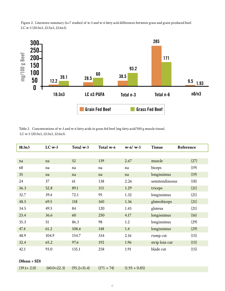Figure 2. Literature summary (n=7 studies) of w-3 and w-6 fatty acid differences between grass and grain produced beef. LC w-3 (20:5n3, 22:5n3, 22:6n3).



| Table 2. Concentrations of w-3 and w-6 fatty acids in grass fed beef (mg fatty acid/100 g muscle tissue). |
|-----------------------------------------------------------------------------------------------------------|
| LC w-3 $(20:5n3, 22:5n3, 22:6n3)$ .                                                                       |

| 18:3n3 | $LC$ w-3 | Total w-3 | Total w-6 | $w-6/w-3$ | <b>Tissue</b>  | Reference |
|--------|----------|-----------|-----------|-----------|----------------|-----------|
|        |          |           |           |           |                |           |
| na     | na       | 52        | 139       | 2.67      | muscle         | (27)      |
| 68     | na       | na        | na        | na        | biceps         | (19)      |
| 35     | na       | na        | na        | na        | longissimus    | (19)      |
| 24     | 37       | 61        | 138       | 2.26      | semitendinosus | (18)      |
| 36.3   | 52.8     | 89.1      | 115       | 1.29      | triceps        | (21)      |
| 32.7   | 39.4     | 72.1      | 95        | 1.32      | longissimus    | (21)      |
| 48.5   | 69.5     | 118       | 160       | 1.36      | gluteobiceps   | (21)      |
| 34.5   | 49.5     | 84        | 120       | 1.43      | gluteus        | (21)      |
| 23.4   | 36.6     | 60        | 250       | 4.17      | longissimus    | (16)      |
| 35.3   | 51       | 86.3      | 98        | 1.2       | longissimus    | (29)      |
| 47.4   | 61.2     | 108.6     | 148       | 1.4       | longissimus    | (29)      |
| 48.9   | 104.9    | 154.7     | 334       | 2.16      | rump cut       | (15)      |
| 32.4   | 65.2     | 97.6      | 192       | 1.96      | strip loin cut | (15)      |
| 42.1   | 93.0     | 135.1     | 258       | 1.91      | blade cut      | (15)      |

#### **(Mean + SD)**

| $(39.1 + 2.0)$ | $(60.0+22.3)$ | $(93.2 + 31.4)$ | $(171 + 74)$ | $(1.93 + 0.85)$ |
|----------------|---------------|-----------------|--------------|-----------------|
|----------------|---------------|-----------------|--------------|-----------------|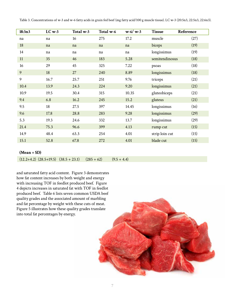Table 3. Concentrations of w-3 and w-6 fatty acids in grain fed beef (mg fatty acid/100 g muscle tissue). LC w-3 (20:5n3, 22:5n3, 22:6n3).

| 18:3n3 | $LC$ w-3 | Total w-3 | Total w-6 | $w-6/w-3$ | <b>Tissue</b>  | Reference |
|--------|----------|-----------|-----------|-----------|----------------|-----------|
| na     | na       | 16        | 275       | 17.2      | muscle         | (27)      |
| 18     | na       | na        | na        | na        | biceps         | (19)      |
| 14     | na       | na        | na        | na        | longissimus    | (19)      |
| 11     | 35       | 46        | 183       | 5.28      | semitendinosus | (18)      |
| 16     | 29       | 45        | 325       | 7.22      | psoas          | (18)      |
| 9      | 18       | 27        | 240       | 8.89      | longissimus    | (18)      |
| 9      | 16.7     | 25.7      | 251       | 9.76      | triceps        | (21)      |
| 10.4   | 13.9     | 24.3      | 224       | 9.20      | longissimus    | (21)      |
| 10.9   | 19.5     | 30.4      | 315       | 10.35     | gluteobiceps   | (21)      |
| 9.4    | 6.8      | 16.2      | 245       | 15.2      | gluteus        | (21)      |
| 9.5    | 18       | 27.5      | 397       | 14.45     | longissimus    | (16)      |
| 9.6    | 17.8     | 28.8      | 283       | 9.28      | longissimus    | (29)      |
| 5.3    | 19.3     | 24.6      | 332       | 13.7      | longissimus    | (29)      |
| 21.4   | 75.3     | 96.6      | 399       | 4.13      | rump cut       | (15)      |
| 14.9   | 48.4     | 63.3      | 254       | 4.01      | strip loin cut | (15)      |
| 15.1   | 52.8     | 67.8      | 272       | 4.01      | blade cut      | (15)      |

#### **(Mean + SD)**

 $(12.2+4.2)$   $(28.5+19.5)$   $(38.5+23.1)$   $(285+62)$   $(9.5+4.4)$ 

and saturated fatty acid content. Figure 3 demonstrates how fat content increases by both weight and energy with increasing TOF in feedlot produced beef. Figure 4 depicts increases in saturated fat with TOF in feedlot produced beef. Table 6 lists seven common USDA beef quality grades and the associated amount of marbling and fat percentage by weight with these cuts of meat. Figure 5 illustrates how these quality grades translate into total fat percentages by energy.

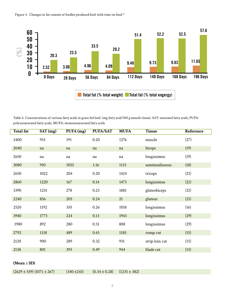



Table 4. Concentrations of various fatty acids in grass fed beef. (mg fatty acid/100 g muscle tissue). SAT: saturated fatty acids, PUFA: polyunsaturated fatty acids, MUFA: monounsaturated fatty acids

| <b>Total fat</b> | SAT(mg) | PUFA(mg) | <b>PUFA/SAT</b> | <b>MUFA</b> | <b>Tissue</b>  | <b>Reference</b> |
|------------------|---------|----------|-----------------|-------------|----------------|------------------|
| 2400             | 933     | 191      | 0.20            | 1276        | muscle         | (27)             |
| 2040             | na      | na       | na              | na          | biceps         | (19)             |
| 2650             | na      | na       | na              | na          | longissimus    | (19)             |
| 3080             | 910     | 1055     | 1.16            | 1115        | semitendinosus | (18)             |
| 2650             | 1022    | 204      | 0.20            | 1424        | triceps        | (21)             |
| 2860             | 1220    | 167      | 0.14            | 1473        | longissimus    | (21)             |
| 3390             | 1231    | 278      | 0.23            | 1881        | gluteobiceps   | (21)             |
| 2240             | 856     | 205      | 0.24            | 21          | gluteus        | (21)             |
| 2520             | 1192    | 310      | 0.26            | 1018        | longissimus    | (16)             |
| 3940             | 1773    | 224      | 0.13            | 1943        | longissimus    | (29)             |
| 1980             | 892     | 280      | 0.31            | 808         | longissimus    | (29)             |
| 2792             | 1118    | 489      | 0.43            | 1185        | rump cut       | (15)             |
| 2120             | 900     | 289      | 0.32            | 931         | strip loin cut | (15)             |
| 2138             | 801     | 393      | 0.49            | 944         | blade cut      | (15)             |

**(Mean** ± **SD)**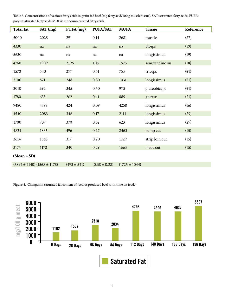Table 5. Concentrations of various fatty acids in grain fed beef (mg fatty acid/100 g muscle tissue). SAT: saturated fatty acids, PUFA: polyunsaturated fatty acids MUFA: monounsaturated fatty acids.

| <b>Total fat</b>                  | SAT(mg) | PUFA(mg)        | PUFA/SAT          | <b>MUFA</b>       | <b>Tissue</b>  | Reference |
|-----------------------------------|---------|-----------------|-------------------|-------------------|----------------|-----------|
| 5000                              | 2028    | 291             | 0.14              | 2681              | muscle         | (27)      |
| 4330                              | na      | na              | na                | na                | biceps         | (19)      |
| 5630                              | na      | na              | na                | $\rm na$          | longissimus    | (19)      |
| 4760                              | 1909    | 2196            | 1.15              | 1525              | semitendinosus | (18)      |
| 1570                              | 540     | 277             | 0.51              | 753               | triceps        | (21)      |
| 2100                              | 821     | 248             | 0.30              | 1031              | longissimus    | (21)      |
| 2010                              | 692     | 345             | 0.50              | 973               | gluteobiceps   | (21)      |
| 1780                              | 633     | 262             | 0.41              | 885               | gluteus        | (21)      |
| 9480                              | 4798    | 424             | 0.09              | 4258              | longissimus    | (16)      |
| 4540                              | 2083    | 346             | 0.17              | 2111              | longissimus    | (29)      |
| 1700                              | 707     | 370             | 0.52              | 623               | longissimus    | (29)      |
| 4824                              | 1865    | 496             | 0.27              | 2463              | rump cut       | (15)      |
| 3614                              | 1568    | 317             | 0.20              | 1729              | strip loin cut | (15)      |
| 3175                              | 1172    | 340             | 0.29              | 1663              | blade cut      | (15)      |
| $(Mean + SD)$                     |         |                 |                   |                   |                |           |
| $(3894 \pm 2140) (1568 \pm 1178)$ |         | $(493 \pm 541)$ | $(0.38 \pm 0.28)$ | $(1725 \pm 1044)$ |                |           |

Figure 4. Changes in saturated fat content of feedlot produced beef with time on feed.<sup>16</sup>

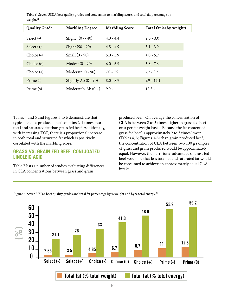| <b>Quality Grade</b> | <b>Marbling Degree</b> | <b>Marbling Score</b> | Total fat % (by weight) |
|----------------------|------------------------|-----------------------|-------------------------|
| Select $(-)$         | Slight $(0 - 40)$      | $4.0 - 4.4$           | $2.3 - 3.0$             |
| Select $(+)$         | Slight (50 - 90)       | $4.5 - 4.9$           | $3.1 - 3.9$             |
| Choice $(-)$         | Small (0 - 90)         | $5.0 - 5.9$           | $4.0 - 5.7$             |
| Choice (o)           | Modest (0 - 90)        | $6.0 - 6.9$           | $5.8 - 7.6$             |
| Choice $(+)$         | Moderate $(0 - 90)$    | $7.0 - 7.9$           | $7.7 - 9.7$             |
| Prime $(-)$          | Slightly Ab $(0 - 90)$ | $8.0 - 8.9$           | $9.9 - 12.1$            |
| Prime (o)            | Moderately Ab $(0 - )$ | $9.0 -$               | $12.3 -$                |

Table 6. Seven USDA beef quality grades and conversion to marbling scores and total fat percentage by weight.<sup>51</sup>

Tables 4 and 5 and Figures 3 to 6 demonstrate that typical feedlot produced beef contains 2-4 times more total and saturated fat than grass fed beef. Additionally, with increasing TOF, there is a proportional increase in both total and saturated fat which is positively correlated with the marbling score.

# **GRASS VS. GRAIN FED BEEF: CONJUGATED LINOLEIC ACID**

Table 7 lists a number of studies evaluating differences in CLA concentrations between grass and grain

produced beef. On average the concentration of CLA is between 2 to 3 times higher in grass fed beef on a per fat weight basis. Because the fat content of grass fed beef is approximately 2 to 3 times lower (Tables 4, 5; Figures 3-5) than grain produced beef, the concentration of CLA between two 100 g samples of grass and grain produced would be approximately equal. However, the nutritional advantage of grass fed beef would be that less total fat and saturated fat would be consumed to achieve an approximately equal CLA intake.



Figure 5. Seven USDA beef quality grades and total fat percentage by % weight and by % total energy.<sup>51</sup>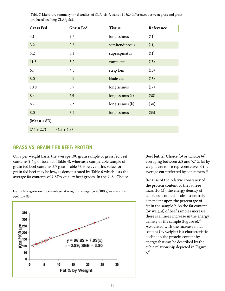| <b>Grass Fed</b> | <b>Grain Fed</b> | <b>Tissue</b>   | Reference |
|------------------|------------------|-----------------|-----------|
| 4.1              | 2.6              | longissimus     | (11)      |
| 3.2              | 2.8              | semitendinosus  | (11)      |
| 5.2              | 3.1              | supraspinatus   | (11)      |
| 11.3             | 5.2              | rump cut        | (15)      |
| 6.7              | 4.5              | strip loin      | (15)      |
| 8.0              | 4.9              | blade cut       | (15)      |
| 10.8             | 3.7              | longissimus     | (17)      |
| 8.4              | 7.5              | longissimus (a) | (30)      |
| 8.7              | 7.2              | longissimus (b) | (30)      |
| 8.0              | 3.2              | longissimus     | (33)      |
| $(Mean + SD)$    |                  |                 |           |
| $(7.4 + 2.7)$    | $(4.5 + 1.8)$    |                 |           |

 Table 7. Literature summary (n= 5 studies) of CLA (cis-9, trans-11 18:2) differences between grass and grain produced beef (mg CLA/g fat).

### **GRASS VS. GRAIN F ED BEEF: PROTEIN**

On a per weight basis, the average 100 gram sample of grass fed beef contains 2.6 g of total fat (Table 4), whereas a comparable sample of grain fed beef contains 3.9 g fat (Table 5). However, this value for grain fed beef may be low, as demonstrated by Table 6 which lists the average fat contents of USDA quality beef grades. In the U.S., Choice

Figure 6. Regression of percentage fat weight to energy (kcal/100 g) in raw cuts of beef  $(n = 86)$ .



Beef [either Choice (o) or Choice (+)] averaging between 5.8 and 9.7 % fat by weight are more representative of the average cut preferred by consumers.<sup>53</sup>

Because of the relative constancy of the protein content of the fat free mass (FFM), the energy density of edible cuts of beef is almost entirely dependent upon the percentage of fat in the sample.<sup>42</sup> As the fat content (by weight) of beef samples increase, there is a linear increase in the energy density of the sample (Figure  $6$ ).<sup>42</sup> Associated with the increase in fat content (by weight) is a characteristic decline in the protein content by energy that can be described by the cubic relationship depicted in Figure 7.42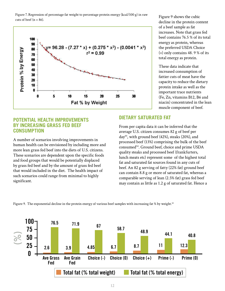Figure 7. Regression of percentage fat weight to percentage protein energy (kcal/100 g) in raw Figure 9 shows the cubic<br>cuts of beef (n = 86).



decline in the protein content of a beef sample as fat increases. Note that grass fed beef contains 76.5 % of its total energy as protein, whereas the preferred USDA Choice (+) only contains 48. 9 % of its total energy as protein.

These data indicate that increased consumption of fattier cuts of meat have the capacity to reduce the dietary protein intake as well as the important trace nutrients (Fe, Zn, vitamins B12, B6 and niacin) concentrated in the lean muscle component of beef.

# **POTENTIAL HEALTH IMPROVEMENTS BY INCREASING GRASS FED BEEF CONSUMPTION**

A number of scenarios involving improvements in human health can be envisioned by including more and more lean grass fed beef into the diets of U.S. citizens. These scenarios are dependent upon the specific foods and food groups that would be potentially displaced by grass fed beef and by the amount of grass fed beef that would included in the diet. The health impact of such scenarios could range from minimal to highly significant.

# **DIETARY SATURATED FAT**

From per capita data it can be inferred that the average U.S. citizen consumes 82 g of beef per day<sup>44</sup>, with ground beef  $(42%)$ , steaks  $(20%)$ , and processed beef (13%) comprising the bulk of the beef consumed<sup>54</sup>. Ground beef, choice and prime USDA quality steaks and processed beef (frankfurters, lunch meats etc) represent some of the highest total fat and saturated fat sources found in any cuts of beef. An 82 g serving of fatty (22% fat) ground beef can contain 8.8 g or more of saturated fat, whereas a comparable serving of lean (2.5% fat) grass fed beef may contain as little as 1.2 g of saturated fat. Hence a

Figure 9. The exponential decline in the protein energy of various beef samples with increasing fat % by weight.<sup>42</sup>

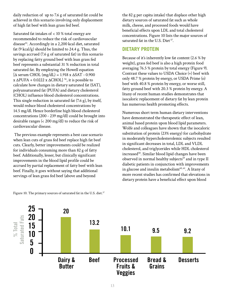daily reduction of up to 7.6 g of saturated fat could be achieved in this scenario involving only displacement of high fat beef with lean grass fed beef.

Saturated fat intakes of < 10 % total energy are recommended to reduce the risk of cardiovascular disease<sup>55</sup>. Accordingly in a 2,200 kcal diet, saturated fat  $(9 \text{ kcal/g})$  should be limited to 24.4 g. Thus, the savings accrued (7.6 g of saturated fat) in this scenario by replacing fatty ground beef with lean grass fed beef represents a substantial 31 % reduction in total saturated fat. By employing the Howell equation  $[\Delta$  serum CHOL  $(mg/dL) = 1.918$  x  $\Delta SAT - 0.900$  $x \Delta$ PUFA + 0.0222 x  $\Delta$ CHOL]<sup>56</sup>, it is possible to calculate how changes in dietary saturated fat (SAT), polyunsaturated fat (PUFA) and dietary cholesterol (CHOL) influence blood cholesterol concentrations. This single reduction in saturated fat (7.6 g), by itself, would reduce blood cholesterol concentrations by 14.5 mg/dl. Hence borderline high blood cholesterol concentrations (200 - 239 mg/dl) could be brought into desirable ranges (< 200 mg/dl) to reduce the risk of cardiovascular disease.

 The previous example represents a best case scenario when lean cuts of grass fed beef replace high fat beef cuts. Clearly, better improvements could be realized for individuals consuming more than 82 g of fatty beef. Additionally, lesser, but clinically significant improvements in the blood lipid profile could be accrued by partial replacement of fatty beef with lean beef. Finally, it goes without saying that additional servings of lean grass fed beef (above and beyond

the 82 g per capita intake) that displace other high dietary sources of saturated fat such as whole milk, cheese, and processed foods would have beneficial effects upon LDL and total cholesterol concentrations. Figure 10 lists the major sources of saturated fat in the U.S. Diet<sup>57</sup>.

# **DIETARY PROTEIN**

Because of it's inherently low fat content (2.6 % by weight), grass fed beef is also a high protein food averaging 76.5 % protein by total energy (Figure 9). Contrast these values to USDA Choice (+) beef with only 48.7 % protein by energy, or USDA Prime (o) beef with 40.8 % protein by energy, or worse still, fatty ground beef with 20.3 % protein by energy. A litany of recent human studies demonstrates that isocaloric replacement of dietary fat by lean protein has numerous health promoting effects.

Numerous short term human dietary interventions have demonstrated the therapeutic effect of lean, animal based protein upon blood lipid parameters. Wolfe and colleagues have shown that the isocaloric substitution of protein (23% energy) for carbohydrate in moderately hypercholesterolemic subjects resulted in significant decreases in total, LDL and VLDL cholesterol, and triglycerides while HDL cholesterol increased<sup>58</sup>. Similar blood lipid changes have been observed in normal healthy subjects<sup>59</sup> and in type II diabetic patients in conjunction with improvements in glucose and insulin metabolism $60, 61$ . A litany of more recent studies has confirmed that elevations in dietary protein have a beneficial effect upon blood



Figure 10. The primary sources of saturated fat in the U.S. diet.<sup>57</sup>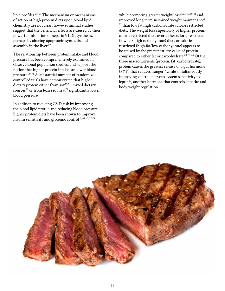lipid profiles.<sup>62-68</sup> The mechanism or mechanisms of action of high protein diets upon blood lipid chemistry are not clear; however animal studies suggest that the beneficial effects are caused by their powerful inhibition of hepatic VLDL synthesis, perhaps by altering apoprotein synthesis and assembly in the liver.<sup>69</sup>

The relationship between protein intake and blood pressure has been comprehensively examined in observational population studies, and support the notion that higher protein intake can lower blood pressure.70-72 A substantial number of randomized controlled trials have demonstrated that higher dietary protein either from  $\text{soy}^{73-75}$ , mixed dietary sources<sup>68</sup> or from lean red meat<sup>76</sup> significantly lower blood pressure.

In addition to reducing CVD risk by improving the blood lipid profile and reducing blood pressure, higher protein diets have been shown to improve insulin sensitivity and glycemic control $62, 64, 67, 77-79$ 

while promoting greater weight  $loss^{63, 66, 67, 80, 81}$  and improved long term sustained weight maintenance $82$ , <sup>83</sup> than low fat high carbohydrate calorie restricted diets. The weight loss superiority of higher protein, calorie restricted diets over either calorie restricted (low fat/ high carbohydrate) diets or calorie restricted (high fat/low carbohydrate) appears to be caused by the greater satiety value of protein compared to either fat or carbohydrate.<sup>80, 83-86</sup> Of the three macronutrients (protein, fat, carbohydrate), protein causes the greatest release of a gut hormone (PYY) that reduces hunger $86$  while simultaneously improving central nervous system sensitivity to leptin<sup>80</sup>, another hormone that controls appetite and body weight regulation.

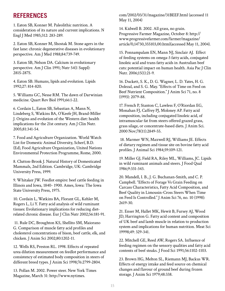# **REFERENCES**

1. Eaton SB, Konner M. Paleolithic nutrition. A consideration of its nature and current implications. N Engl J Med 1985;312: 283-289.

2. Eaton SB, Konner M, Shostak M. Stone agers in the fast lane: chronic degenerative diseases in evolutionary perspective. Am J Med 1988;84:739-749.

3. Eaton SB, Nelson DA. Calcium in evolutionary perspective. Am J Clin 1991; Nutr 54(1 Suppl): 281S-287S.

4. Eaton SB. Humans, lipids and evolution. Lipids 1992;27: 814-820.

5. Williams GC, Nesse RM. The dawn of Darwinian medicine. Quart Rev Biol 1991;66:1-22.

6. Cordain L, Eaton SB, Sebastian A, Mann N, Lindeberg S, Watkins BA, O'Keefe JH, Brand-Miller J. Origins and evolution of the Western diet: health implications for the 21st century. Am J Clin Nutr. 2005;81:341-54.

7. Food and Agriculture Organization. World Watch List for Domestic Animal Diversity, Scherf, B.D. (Ed), Food Agriculture Organization, United Nations Environmental Protection Programme, Rome, 2000.

8. Clutton-Brook J. Natural History of Domesticated Mammals, 2nd Edition. Cambridge, UK: Cambridge University Press, 1999.

9. Whitaker JW. Feedlot empire: beef cattle feeding in Illinois and Iowa, 1840- 1900. Ames, Iowa: The Iowa State University Press, 1975.

10. Cordain L, Watkins BA, Florant GL, Kehler M, Rogers L, Li Y. Fatty acid analysis of wild ruminant tissues: Evolutionary implications for reducing dietrelated chronic disease. Eur J Clin Nutr 2002;56:181-91.

 11. Rule DC, Broughton KS, Shellito SM, Maiorano G. Comparison of muscle fatty acid profiles and cholesterol concentrations of bison, beef cattle, elk, and chicken. J Anim Sci 2002;80:1202-11.

12. Wells RS, Preston RL. 1998. Effects of repeated urea dilution measurement on feedlot performance and consistency of estimated body composition in steers of different breed types. J Anim Sci 1998;76:2799-2804.

13. Pollan M. 2002. Power steer. New York Times Magazine, March 31: http://www.nytimes.

com/2002/03/31/magazine/31BEEF.html (accessed 11 May 11, 2004)

14. Kidwell B. 2002. All grass, no grain. Progressive Farmer Magazine, October 8: http:// www.progressivefarmer.com/farmer/magazine/ article/0,14730,355103,00.html(accessed May 11, 2004).

15. Ponnampalam EN, Mann NJ, Sinclair AJ. Effect of feeding systems on omega-3 fatty acids, conjugated linoleic acid and trans fatty acids in Australian beef cuts: potential impact on human health. Asia Pac J Clin Nutr. 2006;15(1):21-9.

16. Duckett, S. K., D. G. Wagner, L. D. Yates, H. G. Dolezal, and S. G. May. "Effects of Time on Feed on Beef Nutrient Composition." J Anim Sci 71, no. 8 (1993): 2079-88.

17. French P, Stanton C, Lawless F, O'Riordan EG, Monahan FJ, Caffrey PJ, Moloney AP. Fatty acid composition, including conjugated linoleic acid, of intramuscular fat from steers offered grazed grass, grass silage, or concentrate-based diets. J Anim Sci. 2000 Nov;78(11):2849-55.

 18. Marmer WN, Maxwell RJ, Williams JE. Effects of dietary regimen and tissue site on bovine fatty acid profiles. J Animal Sci 1984;59:109-121.

19. Miller GJ, Field RA, Riley ML, Williams, JC. Lipids in wild ruminant animals and steers. J Food Qual 1986;9:331-343.

20. Mandell, I. B., J. G. Buchanan-Smith, and C. P. Campbell. "Effects of Forage Vs Grain Feeding on Carcass Characteristics, Fatty Acid Composition, and Beef Quality in Limousin-Cross Steers When Time on Feed Is Controlled." J Anim Sci 76, no. 10 (1998): 2619-30.

21. Enser M, Hallet MK, Hewit B, Fursey AJ, Wood JD, Harrington G. Fatty acid content and composition of UK beef and lamb muscle in relation to production system and implications for human nutrition. Meat Sci 19998;49: 329-341.

22. Mitchell GE, Reed AW, Rogers SA. Influence of feeding regimen on the sensory qualities and fatty acid contents of beef steaks. J Food Sci 1991;56:1102-1103.

23. Brown HG, Melton SL, Riemann MJ, Backus WR. Effects of energy intake and feed source on chemical changes and flavour of ground beef during frozen storage. J Anim Sci 1979;48:338.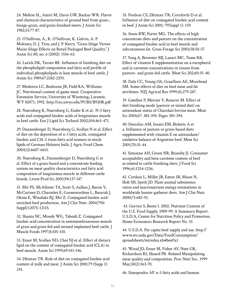24. Melton SL, Amiri M, Davis GW, Backus WR. Flavor and chemical characteristics of ground beef from grass-, forage-grain, and grain-finished steers. J Anim Sci 1982;55:77-87.

25. O'Sullivan, A., K. O'Sullivan, K. Galvin, A. P. Moloney, D. J. Troy, and J. P. Kerry. "Grass Silage Versus Maize Silage Effects on Retail Packaged Beef Quality." J Anim Sci 80, no. 6 (2002): 1556-63.

26. Larick DK, Turner BE. Influence of finishing diet on the phospholipid composition and fatty acid profile of individual phospholipids in lean muscle of beef cattle. J Anim Sci 1989;67:2282-2293.

27. Medeiros LC, Busboom JR, Field RA, Williams JC. Nutritional content of game meat. Cooperative Extension Service, University of Wyoming, Laramie, WY 82071, 1992. http://ces.uwyo.edu/PUBS/B920R.pdf

28. Nuernberg K, Nuernberg G, Ender K et al. N-3 fatty acids and conjugated linoleic acids of longissimus muscle in beef cattle. Eur J Lipid Sci Technol 2002;104:463-471.

29. Dannenberger D, Nuernberg G, Scollan N et al. Effect of diet on the deposition of n-3 fatty acids, conjugated linoleic and C18 :1 trans fatty acid isomers in mscle lipids of German Holstein bulls. J Agric Food Chem 2004;52:6607-6615.

30. Nuernberg K, Dannenberger D, Nuernberg G et al. Effect of a grass-based and a concentrate feeding system on meat quality characteristics and fatty acid composition of longissimus muscle in different cattle breeds. Livest Prod Sci 2005;94:137-147

31. Mir PS, McAllister TA, Scott S, Aalhus J, Baron V, McCartney D, Charmley E, Goonewardene L, Basarab J, Okine E, Weselake RJ, Mir Z. Conjugated linoleic acidenriched beef production. Am J Clin Nutr. 2004;79(6 Suppl):1207S-1211S.

32. Shanta NC, Moody WG, Tabeidi Z. Conjugated linoleic acid concentration in semimembranousus muscle of grass and grain fed and zeranol implanted beef cattle. J Muscle Foods 1997;8:105-110.

33. Enser M, Scollan ND, Choi NJ et al. Effect of dietary lipid on the content of conjugated linoleic acid (CLA) in beef muscle. Anim Sci 1999;69:143-146.

34. Dhiman TR. Role of diet on conjugated linoleic acid content of milk and meat. J Anim Sci 2001;79 (Supp 1): 241.

35. Poulson CS, Dhiman TR, Cornforth D et al. Influence of diet on conjugated linoleic acid content in beef. J Anim Sci 2001; 79(Suppl 1): 159.

36. Steen RW, Porter MG. The effects of high concentrate diets and pasture on the concentration of conjugated linoleic acid in beef muscle and subcutaneous fat. Grass Forage Sci 2003;58:50-57.

37. Yang A, Brewster MJ, Lanari MC, Tume RK. Effect of vitamin E supplementation on a-tocopherol and Δ-carotene concentrations in tissues from pasture- and grain-fed cattle. Meat Sci 202;60:35-40.

38. Daly CC, Young OA, Graafhuis AE, Moorhead SM. Some effects of diet on beef meat and fat attributes. NZJ Agricul Res 1999;42:279-287.

39. Gatellier P, Mercier Y, Renerre M. Effect of diet finishing mode (pasture or mixed diet) on antioxidant status of Charolais bovine meat. Meat Sci 2004;67: 385-394. Pages 385-394.

40. Descalzo AM, Insani EM, Biolatto A et a. Influence of pasture or grain-based diets supplemented with vitamin E on antioxidant/ oxidative balance of Argentine beef. Meat Sci 2005;70:35-44.

41. Simonne AH, Green NR, Bransby JI. Consumer acceptability and beta-carotene content of beef as related to cattle finishing diets. J Food Sci 1996;61:1254-1256.

42. Cordain L, Miller JB, Eaton SB, Mann N, Holt SH, Speth JD. Plant-animal subsistence ratios and macronutrient energy estimations in worldwide hunter-gatherer diets. Am J Clin Nutr. 2000;71:682-92.

 43. Gerrior S, Bente I. 2002. Nutrient Content of the U.S. Food Supply, 1909-99: A Summary Report. U.S.D.A, Center for Nutrition Policy and Promotion. Home Economics Research Report No. 55

44. U.S.D.A. Per capita beef supply and use. http:// www.ers.usda.gov/Data/FoodConsumption/ spreadsheets/mtredsu.xls#beef!a1

45. Wood JD, Enser M, Fisher AV, Nute GR, Richardson RI, Sheard PR. Related Manipulating meat quality and composition. Proc Nutr Soc. 1999 May;58(2):363-70.

46. Simopoulos AP. n-3 fatty acids and human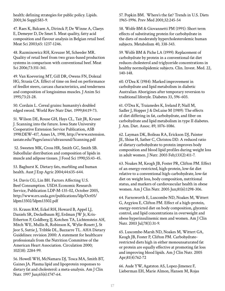health: defining strategies for public policy. Lipids. 2001;36 Suppl:S83-9.

47. Raes K, Balcaen A, Dirinck P, De Winne A, Claeys E, Demeyer D, De Smet S. Meat quality, fatty acid composition and flavour analysis in Belgian retail beef. Meat Sci 2003;65: 1237-1246.

48. Razminowicz RH, Kreuzer M, Scheeder MR. Quality of retail beef from two grass-based production systems in comparison with conventional beef. Meat Sci 2006;73:351-361.

49. Van Koevering MT, Gill DR, Owens FN, Dolezal HG, Strasia CA. Effect of time on feed on performance of feedlot steers, carcass characteristics, and tenderness and composition of longissimus muscles. J Anim Sci 1995;73:21-28.

50. Cordain L. Cereal grains: humanity's doubled edged sword. World Rev Nutr Diet. 1999;84:19-73.

51. Wilson DE, Rouse GH, Hays CL, Tait JR, Kruser J. Scanning into the future. Iowa State University Cooperative Extension Service Publication, ASB 1998:DEW-417, Ames IA, 1998, http://www.extension. iastate.edu/Pages/ansci/ultrasound/Scanning.pdf

 52. Sweeten MK, Cross HR, Smith GC, Smith SB. Subcellular distribution and composition of lipids in muscle and adipose tissues. J Food Sci 1990;55:43-45.

53. Baghurst K. Dietary fats, marbling and human health. Aust J Exp Agric 2004;44:635-644.

54. Davis CG, Lin BH. Factors Affecting U.S. Beef Consumption. USDA Economic Research Service, Publication LDP-M-135-02, October 2005, http://www.ers.usda.gov/publications/ldp/Oct05/ ldpm13502/ldpm13502.pdf

55. Krauss RM, Eckel RH, Howard B, Appel LJ, Daniels SR, Deckelbaum RJ, Erdman JW Jr, Kris-Etherton P, Goldberg IJ, Kotchen TA, Lichtenstein AH, Mitch WE, Mullis R, Robinson K, Wylie-Rosett J, St Jeor S, Suttie J, Tribble DL, Bazzarre TL. AHA Dietary Guidelines: revision 2000: A statement for healthcare professionals from the Nutrition Committee of the American Heart Association. Circulation 2000; 102(18): 2284-99.

56. Howell WH, McNamara DJ, Tosca MA, Smith BT, Gaines JA. Plasma lipid and lipoprotein responses to dietary fat and cholesterol: a meta-analysis. Am J Clin Nutr. 1997 Jun;65(6):1747-64.

57. Popkin BM. Where's the fat? Trends in U.S. Diets 1965-1996. Prev Med 2001;32:245-54

58. Wolfe BM & Giovannetti PM (1991): Short term effects of substituting protein for carbohydrate in the diets of moderately hypercholesterolemic human subjects. Metabolism 40, 338-343.

59. Wolfe BM & Piche LA (1999): Replacement of carbohydrate by protein in a conventional-fat diet reduces cholesterol and triglyceride concentrations in healthy normolipidemic subjects. Clin. Invest. Med. 22, 140-148.

60. O'Dea K (1984): Marked improvement in carbohydrate and lipid metabolism in diabetic Australian Aborigines after temporary reversion to traditional lifestyle. Diabetes 33, 596-603.

61. O'Dea K, Traianedes K, Ireland P, Niall M, Sadler J, Hopper J & DeLuise M (1989): The effects of diet differing in fat, carbohydrate, and fiber on carbohydrate and lipid metabolism in type II diabetes. J. Am. Diet. Assoc. 89, 1076-1086.

62. Layman DK, Boileau RA, Erickson DJ, Painter JE, Shiue H, Sather C, Christou DD. A reduced ratio of dietary carbohydrate to protein improves body composition and blood lipid profiles during weight loss in adult women. J Nutr. 2003 Feb;133(2):411-7.

63. Noakes M, Keogh JB, Foster PR, Clifton PM. Effect of an energy-restricted, high-protein, low-fat diet relative to a conventional high-carbohydrate, low-fat diet on weight loss, body composition, nutritional status, and markers of cardiovascular health in obese women. Am J Clin Nutr. 2005 Jun;81(6):1298-306.

64. Farnsworth E, Luscombe ND, Noakes M, Wittert G, Argyiou E, Clifton PM. Effect of a high-protein, energy-restricted diet on body composition, glycemic control, and lipid concentrations in overweight and obese hyperinsulinemic men and women. Am J Clin Nutr. 2003 Jul;78(1):31-9.

65. Luscombe-Marsh ND, Noakes M, Wittert GA, Keogh JB, Foster P, Clifton PM. Carbohydraterestricted diets high in either monounsaturated fat or protein are equally effective at promoting fat loss and improving blood lipids. Am J Clin Nutr. 2005 Apr;81(4):762-72

66. Aude YW, Agatston AS, Lopez-Jimenez F, Lieberman EH, Marie Almon, Hansen M, Rojas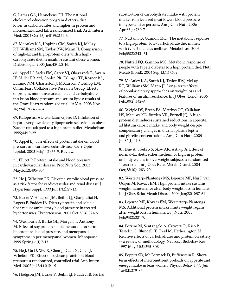G, Lamas GA, Hennekens CH. The national cholesterol education program diet vs a diet lower in carbohydrates and higher in protein and monounsaturated fat: a randomized trial. Arch Intern Med. 2004 Oct 25;164(19):2141-6.

67. McAuley KA, Hopkins CM, Smith KJ, McLay RT, Williams SM, Taylor RW, Mann JI. Comparison of high-fat and high-protein diets with a highcarbohydrate diet in insulin-resistant obese women. Diabetologia. 2005 Jan;48(1):8-16.

68. Appel LJ, Sacks FM, Carey VJ, Obarzanek E, Swain JF, Miller ER 3rd, Conlin PR, Erlinger TP, Rosner BA, Laranjo NM, Charleston J, McCarron P, Bishop LM; OmniHeart Collaborative Research Group. Effects of protein, monounsaturated fat, and carbohydrate intake on blood pressure and serum lipids: results of the OmniHeart randomized trial. JAMA. 2005 Nov 16;294(19):2455-64.

69. Kalopissis, AD Griffaton G, Fau D. Inhibition of hepatic very low density lipoprotein secretion on obese Zucker rats adapted to a high protein diet. Metabolism 1995;44:19-29.

70. Appel LJ. The effects of protein intake on blood pressure and cardiovascular disease. Curr Opin Lipidol. 2003 Feb;14(1):55-9. Review.

71. Elliott P. Protein intake and blood pressure in cardiovascular disease. Proc Nutr Soc. 2003 May;62(2):495-504.

72. He J, Whelton PK. Elevated systolic blood pressure as a risk factor for cardiovascular and renal disease. J Hypertens Suppl. 1999 Jun;17(2):S7-13.

73. Burke V, Hodgson JM, Beilin LJ, Giangiulioi N, Rogers P, Puddey IB. Dietary protein and soluble fiber reduce ambulatory blood pressure in treated hypertensives. Hypertension. 2001 Oct;38(4):821-6.

74. Washburn S, Burke GL, Morgan T, Anthony M. Effect of soy protein supplementation on serum lipoproteins, blood pressure, and menopausal symptoms in perimenopausal women. Menopause. 1999 Spring;6(1):7-13.

75. He J, Gu D, Wu X, Chen J, Duan X, Chen J, Whelton PK. Effect of soybean protein on blood pressure: a randomized, controlled trial.Ann Intern Med. 2005 Jul 5;143(1):1-9.

76. Hodgson JM, Burke V, Beilin LJ, Puddey IB. Partial

substitution of carbohydrate intake with protein intake from lean red meat lowers blood pressure in hypertensive persons. Am J Clin Nutr. 2006 Apr;83(4):780-7

77. Nuttall FQ, Gannon MC. The metabolic response to a high-protein, low- carbohydrate diet in men with type 2 diabetes mellitus. Metabolism. 2006 Feb;55(2):243- 51.

78. Nuttall FQ, Gannon MC. Metabolic response of people with type 2 diabetes to a high protein diet. Nutr Metab (Lond). 2004 Sep 13;1(1):652.

79. McAuley KA, Smith KJ, Taylor RW, McLay RT, Williams SM, Mann JI. Long- term effects of popular dietary approaches on weight loss and features of insulin resistance. Int J Obes (Lond). 2006 Feb;30(2):342-9.

80. Weigle DS, Breen PA, Matthys CC, Callahan HS, Meeuws KE, Burden VR, Purnell JQ. A highprotein diet induces sustained reductions in appetite, ad libitum caloric intake, and body weight despite compensatory changes in diurnal plasma leptin and ghrelin concentrations. Am J Clin Nutr. 2005 Jul;82(1):41-8

81. Due A, Toubro S, Skov AR, Astrup A. Effect of normal-fat diets, either medium or high in protein, on body weight in overweight subjects: a randomised 1-year trial. Int J Obes Relat Metab Disord. 2004 Oct;28(10):1283-90

82. Westerterp-Plantenga MS, Lejeune MP, Nijs I, van Ooijen M, Kovacs EM. High protein intake sustains weight maintenance after body weight loss in humans. Int J Obes Relat Metab Disord. 2004 Jan;28(1):57-64.

83. Lejeune MP, Kovacs EM, Westerterp-Plantenga MS. Additional protein intake limits weight regain after weight loss in humans. Br J Nutr. 2005 Feb;93(2):281-9.

84. Porrini M, Santangelo A, Crovetti R, Riso P, Testolin G, Blundell JE. Reid M, Hetherington M. Relative effects of carbohydrates and protein on satiety -- a review of methodology. Neurosci Biobehav Rev 1997 May;21(3):295-308

85. Poppitt SD, McCormack D, Buffenstein R. Shortterm effects of macronutrient preloads on appetite and energy intake in lean women. Physiol Behav 1998 Jun 1;64(3):279-85